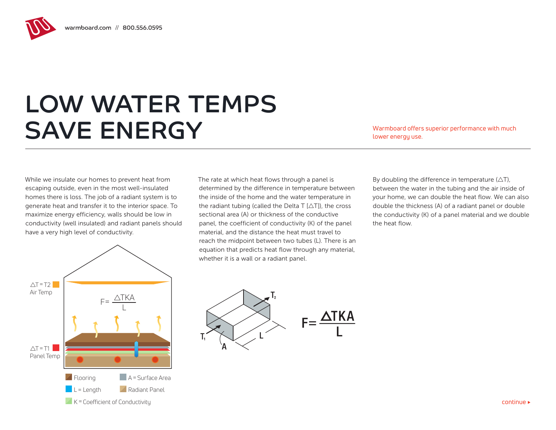## LOW WATER TEMPS SAVE ENERGY Warmboard offers superior performance with much

lower energy use.

While we insulate our homes to prevent heat from escaping outside, even in the most well-insulated homes there is loss. The job of a radiant system is to generate heat and transfer it to the interior space. To maximize energy efficiency, walls should be low in conductivity (well insulated) and radiant panels should have a very high level of conductivity.

The rate at which heat flows through a panel is determined by the difference in temperature between the inside of the home and the water temperature in the radiant tubing (called the Delta T  $[\triangle T]$ ), the cross sectional area (A) or thickness of the conductive panel, the coefficient of conductivity (K) of the panel material, and the distance the heat must travel to reach the midpoint between two tubes (L). There is an equation that predicts heat flow through any material, whether it is a wall or a radiant panel.

By doubling the difference in temperature  $(\triangle T)$ , between the water in the tubing and the air inside of your home, we can double the heat flow. We can also double the thickness (A) of a radiant panel or double the conductivity (K) of a panel material and we double the heat flow.